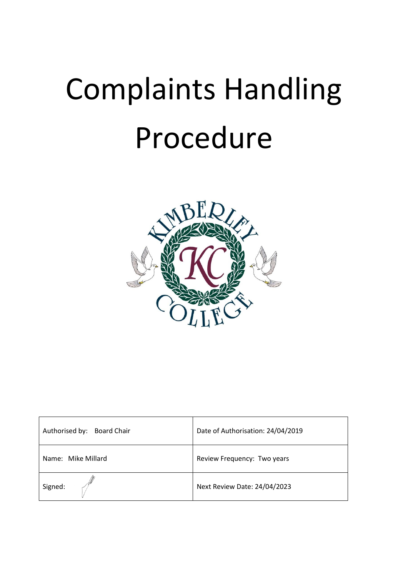

| Authorised by: Board Chair | Date of Authorisation: 24/04/2019 |
|----------------------------|-----------------------------------|
| Name: Mike Millard         | Review Frequency: Two years       |
| Signed:                    | Next Review Date: 24/04/2023      |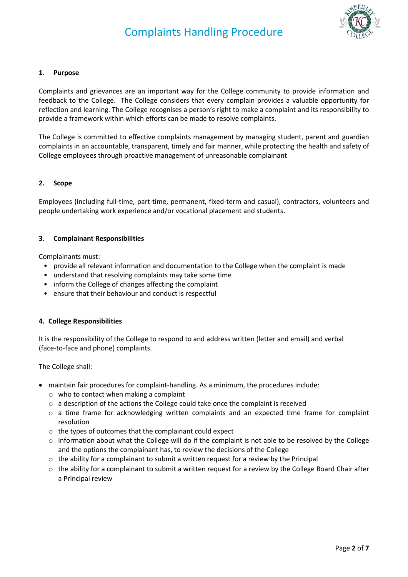

#### **1. Purpose**

Complaints and grievances are an important way for the College community to provide information and feedback to the College. The College considers that every complain provides a valuable opportunity for reflection and learning. The College recognises a person's right to make a complaint and its responsibility to provide a framework within which efforts can be made to resolve complaints.

The College is committed to effective complaints management by managing student, parent and guardian complaints in an accountable, transparent, timely and fair manner, while protecting the health and safety of College employees through proactive management of unreasonable complainant

#### **2. Scope**

Employees (including full-time, part-time, permanent, fixed-term and casual), contractors, volunteers and people undertaking work experience and/or vocational placement and students.

#### **3. Complainant Responsibilities**

Complainants must:

- provide all relevant information and documentation to the College when the complaint is made
- understand that resolving complaints may take some time
- inform the College of changes affecting the complaint
- ensure that their behaviour and conduct is respectful

#### **4. College Responsibilities**

It is the responsibility of the College to respond to and address written (letter and email) and verbal (face-to-face and phone) complaints.

The College shall:

- maintain fair procedures for complaint-handling. As a minimum, the procedures include:
	- o who to contact when making a complaint
	- $\circ$  a description of the actions the College could take once the complaint is received
	- $\circ$  a time frame for acknowledging written complaints and an expected time frame for complaint resolution
	- o the types of outcomes that the complainant could expect
	- $\circ$  information about what the College will do if the complaint is not able to be resolved by the College and the options the complainant has, to review the decisions of the College
	- $\circ$  the ability for a complainant to submit a written request for a review by the Principal
	- $\circ$  the ability for a complainant to submit a written request for a review by the College Board Chair after a Principal review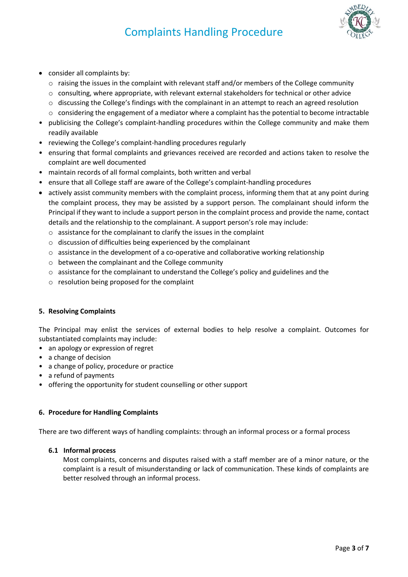

- consider all complaints by:
	- o raising the issues in the complaint with relevant staff and/or members of the College community
	- o consulting, where appropriate, with relevant external stakeholders for technical or other advice
	- $\circ$  discussing the College's findings with the complainant in an attempt to reach an agreed resolution
	- $\circ$  considering the engagement of a mediator where a complaint has the potential to become intractable
- publicising the College's complaint-handling procedures within the College community and make them readily available
- reviewing the College's complaint-handling procedures regularly
- ensuring that formal complaints and grievances received are recorded and actions taken to resolve the complaint are well documented
- maintain records of all formal complaints, both written and verbal
- ensure that all College staff are aware of the College's complaint-handling procedures
- actively assist community members with the complaint process, informing them that at any point during the complaint process, they may be assisted by a support person. The complainant should inform the Principal if they want to include a support person in the complaint process and provide the name, contact details and the relationship to the complainant. A support person's role may include:
	- o assistance for the complainant to clarify the issues in the complaint
	- o discussion of difficulties being experienced by the complainant
	- $\circ$  assistance in the development of a co-operative and collaborative working relationship
	- o between the complainant and the College community
	- $\circ$  assistance for the complainant to understand the College's policy and guidelines and the
	- o resolution being proposed for the complaint

#### **5. Resolving Complaints**

The Principal may enlist the services of external bodies to help resolve a complaint. Outcomes for substantiated complaints may include:

- an apology or expression of regret
- a change of decision
- a change of policy, procedure or practice
- a refund of payments
- offering the opportunity for student counselling or other support

#### **6. Procedure for Handling Complaints**

There are two different ways of handling complaints: through an informal process or a formal process

#### **6.1 Informal process**

Most complaints, concerns and disputes raised with a staff member are of a minor nature, or the complaint is a result of misunderstanding or lack of communication. These kinds of complaints are better resolved through an informal process.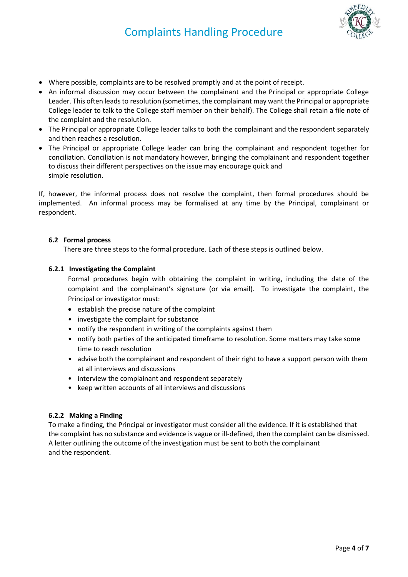

- Where possible, complaints are to be resolved promptly and at the point of receipt.
- An informal discussion may occur between the complainant and the Principal or appropriate College Leader. This often leads to resolution (sometimes, the complainant may want the Principal or appropriate College leader to talk to the College staff member on their behalf). The College shall retain a file note of the complaint and the resolution.
- The Principal or appropriate College leader talks to both the complainant and the respondent separately and then reaches a resolution.
- The Principal or appropriate College leader can bring the complainant and respondent together for conciliation. Conciliation is not mandatory however, bringing the complainant and respondent together to discuss their different perspectives on the issue may encourage quick and simple resolution.

If, however, the informal process does not resolve the complaint, then formal procedures should be implemented. An informal process may be formalised at any time by the Principal, complainant or respondent.

#### **6.2 Formal process**

There are three steps to the formal procedure. Each of these steps is outlined below.

#### **6.2.1 Investigating the Complaint**

Formal procedures begin with obtaining the complaint in writing, including the date of the complaint and the complainant's signature (or via email). To investigate the complaint, the Principal or investigator must:

- establish the precise nature of the complaint
- investigate the complaint for substance
- notify the respondent in writing of the complaints against them
- notify both parties of the anticipated timeframe to resolution. Some matters may take some time to reach resolution
- advise both the complainant and respondent of their right to have a support person with them at all interviews and discussions
- interview the complainant and respondent separately
- keep written accounts of all interviews and discussions

#### **6.2.2 Making a Finding**

To make a finding, the Principal or investigator must consider all the evidence. If it is established that the complaint has no substance and evidence is vague or ill-defined, then the complaint can be dismissed. A letter outlining the outcome of the investigation must be sent to both the complainant and the respondent.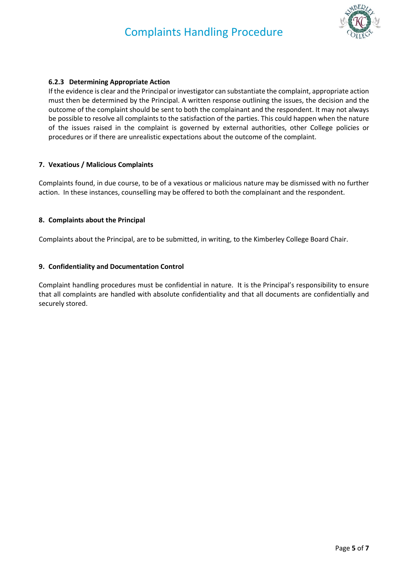

#### **6.2.3 Determining Appropriate Action**

If the evidence is clear and the Principal or investigator can substantiate the complaint, appropriate action must then be determined by the Principal. A written response outlining the issues, the decision and the outcome of the complaint should be sent to both the complainant and the respondent. It may not always be possible to resolve all complaints to the satisfaction of the parties. This could happen when the nature of the issues raised in the complaint is governed by external authorities, other College policies or procedures or if there are unrealistic expectations about the outcome of the complaint.

#### **7. Vexatious / Malicious Complaints**

Complaints found, in due course, to be of a vexatious or malicious nature may be dismissed with no further action. In these instances, counselling may be offered to both the complainant and the respondent.

#### **8. Complaints about the Principal**

Complaints about the Principal, are to be submitted, in writing, to the Kimberley College Board Chair.

#### **9. Confidentiality and Documentation Control**

Complaint handling procedures must be confidential in nature. It is the Principal's responsibility to ensure that all complaints are handled with absolute confidentiality and that all documents are confidentially and securely stored.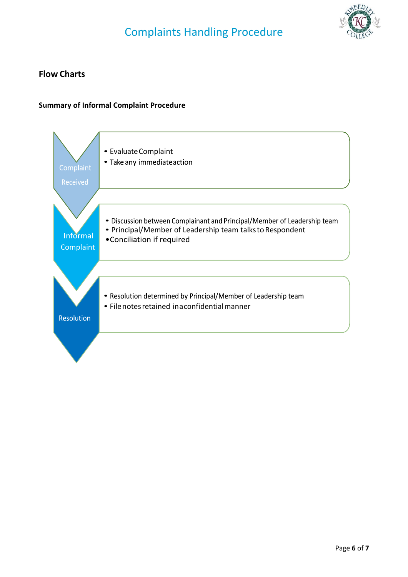

## **Flow Charts**

### **Summary of Informal Complaint Procedure**